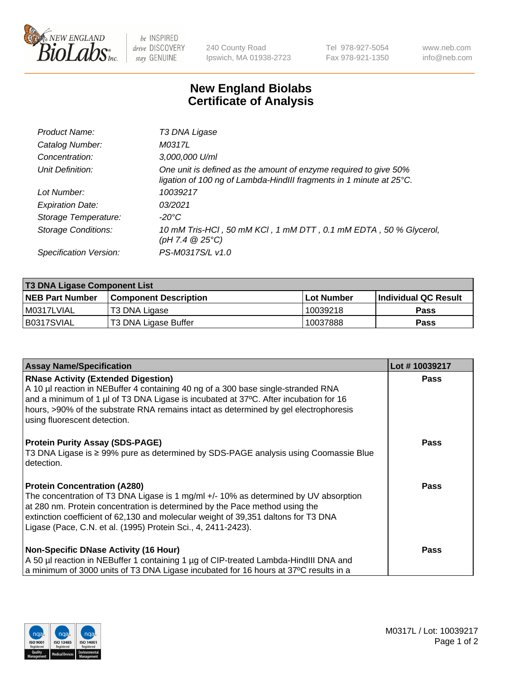

be INSPIRED drive DISCOVERY stay GENUINE

240 County Road Ipswich, MA 01938-2723 Tel 978-927-5054 Fax 978-921-1350 www.neb.com info@neb.com

## **New England Biolabs Certificate of Analysis**

| Product Name:              | T3 DNA Ligase                                                                                                                           |
|----------------------------|-----------------------------------------------------------------------------------------------------------------------------------------|
| Catalog Number:            | M0317L                                                                                                                                  |
| Concentration:             | 3,000,000 U/ml                                                                                                                          |
| Unit Definition:           | One unit is defined as the amount of enzyme required to give 50%<br>ligation of 100 ng of Lambda-HindIII fragments in 1 minute at 25°C. |
| Lot Number:                | 10039217                                                                                                                                |
| <b>Expiration Date:</b>    | 03/2021                                                                                                                                 |
| Storage Temperature:       | $-20^{\circ}$ C                                                                                                                         |
| <b>Storage Conditions:</b> | 10 mM Tris-HCl, 50 mM KCl, 1 mM DTT, 0.1 mM EDTA, 50 % Glycerol,<br>(pH 7.4 $@25°C$ )                                                   |
| Specification Version:     | PS-M0317S/L v1.0                                                                                                                        |

| <b>T3 DNA Ligase Component List</b> |                              |              |                      |  |  |
|-------------------------------------|------------------------------|--------------|----------------------|--|--|
| <b>NEB Part Number</b>              | <b>Component Description</b> | l Lot Number | Individual QC Result |  |  |
| I M0317LVIAL                        | T3 DNA Ligase                | 10039218     | <b>Pass</b>          |  |  |
| B0317SVIAL                          | T3 DNA Ligase Buffer         | 10037888     | Pass                 |  |  |

| <b>Assay Name/Specification</b>                                                                                                                                                                                                                                                                                                                                   | Lot #10039217 |
|-------------------------------------------------------------------------------------------------------------------------------------------------------------------------------------------------------------------------------------------------------------------------------------------------------------------------------------------------------------------|---------------|
| <b>RNase Activity (Extended Digestion)</b><br>A 10 µl reaction in NEBuffer 4 containing 40 ng of a 300 base single-stranded RNA<br>and a minimum of 1 µl of T3 DNA Ligase is incubated at 37°C. After incubation for 16<br>hours, >90% of the substrate RNA remains intact as determined by gel electrophoresis<br>using fluorescent detection.                   | <b>Pass</b>   |
| <b>Protein Purity Assay (SDS-PAGE)</b><br>T3 DNA Ligase is ≥ 99% pure as determined by SDS-PAGE analysis using Coomassie Blue<br>detection.                                                                                                                                                                                                                       | <b>Pass</b>   |
| <b>Protein Concentration (A280)</b><br>The concentration of T3 DNA Ligase is 1 mg/ml +/- 10% as determined by UV absorption<br>at 280 nm. Protein concentration is determined by the Pace method using the<br>extinction coefficient of 62,130 and molecular weight of 39,351 daltons for T3 DNA<br>Ligase (Pace, C.N. et al. (1995) Protein Sci., 4, 2411-2423). | <b>Pass</b>   |
| <b>Non-Specific DNase Activity (16 Hour)</b><br>A 50 µl reaction in NEBuffer 1 containing 1 µg of CIP-treated Lambda-HindIII DNA and<br>a minimum of 3000 units of T3 DNA Ligase incubated for 16 hours at 37°C results in a                                                                                                                                      | <b>Pass</b>   |